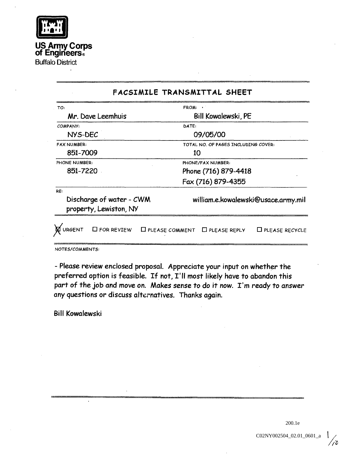

US ArmyCorps of Engineers.

Buffalo District

|                                                           | FACSIMILE TRANSMITTAL SHEET                                        |
|-----------------------------------------------------------|--------------------------------------------------------------------|
| TO:                                                       | FROM:                                                              |
| Mr. Dave Leemhuis                                         | Bill Kowalewski, PE                                                |
| COMPANY:                                                  | DATE:                                                              |
| NYS-DEC                                                   | 09/05/00                                                           |
| <b>FAX NUMBER:</b>                                        | TOTAL NO. OF PAGES INCLUDING COVER:                                |
| 851-7009                                                  | 10                                                                 |
| PHONE NUMBER:                                             | PHONE/FAX NUMBER:                                                  |
| 851-7220                                                  | Phone (716) 879-4418                                               |
|                                                           | Fax (716) 879-4355                                                 |
| RE:<br>Discharge of water - CWM<br>property, Lewiston, NY | william.e.kowalewski@usace.army.mil                                |
| <b>URGENT</b><br>$\square$ for review                     | $\Box$ PLEASE COMMENT $\Box$ PLEASE REPLY<br>$\Box$ PLEASE RECYCLE |

NOTES/COMMENTS

- Please review enclosed proposal. Appreciate your input on whether the preferred option is feasible. If not, I'll most likely have to abandon this part of the job and move on. Makes sense to do it now. I'm ready to answer any questions or discuss alternatives. Thanks again.

Bill Kowalewski

200.1e

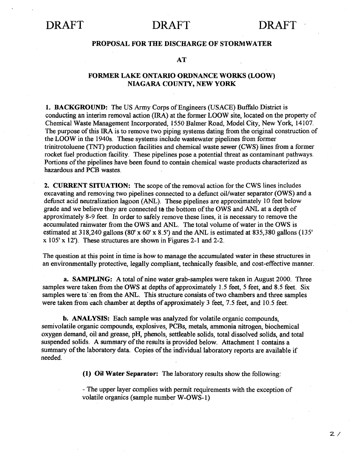#### PROPOSAL FOR THE DISCHARGE OF STORM WATER

#### AT

### FORMER LAKE ONTARIO ORDNANCE WORKS (LOOW) NIAGARA COUNTY, NEW YORK

1. BACKGROUND: The US Army Corps of Engineers (USACE) Buffalo District is conducting an interim removal action (IRA) at the former LOOW site, located on the property of Chemical Waste Management Incorporated, 1550 Balmer Road, Model City, New York, 14107. The purpose of this IRA is to remove two piping systems dating from the original construction of the LOOW in the 1940s. These systems include wastewater pipelines from former trinitrotoluene (TNT) production facilities and chemical waste sewer (CWS) lines from a former rocket fuel production facility. These pipelines pose a potential threat as contaminant pathways. Portions of the pipelines have been found to contain chemical waste products characterized as hazardous and PCB wastes

**2. CURRENT SITUATION:** The scope of the removal action for the CWS lines includes excavating and removing two pipelines connected to a defunct oil/water separator (OWS) and a defunct acid neutralization lagoon (ANL). These pipelines are approximately 10 feet below grade and we believe they are connected to the bottom of the OWS and ANL at a depth of approximately 8-9 feet In order to safely remove these lines it is necessary to remove the accumulated rainwater from the OWS and ANL The total volume of water in the OWS is estimated at  $318,240$  gallons  $(80' \times 60' \times 8.5')$  and the ANL is estimated at  $835,380$  gallons  $(135'$  $x$  105'  $x$  12'). These structures are shown in Figures 2-1 and 2-2.

The question at this point in time is how to manage the accumulated water in these structures in an environmentally protective, legally compliant, technically feasible, and cost-effective manner.

a. SAMPLING: A total of nine water grab-samples were taken in August 2000. Three samples were taken from the OWS at depths of approximately 1.5 feet, 5 feet, and 8.5 feet. Six samples were taken from the ANL. This structure consists of two chambers and three samples were taken from each chamber at depths of approximately  $3$  feet,  $7.5$  feet, and  $10.5$  feet.

b. ANALYSIS: Each sample was analyzed for volatile organic compounds, semivolatile organic compounds, explosives, PCBs, metals, ammonia nitrogen, biochemical oxygen demand, oil and grease, pH, phenols, settleable solids, total dissolved solids, and total suspended solids. A summary of the results is provided below. Attachment 1 contains a summary of the laboratory data. Copies of the individual laboratory reports are available if needed

 $(1)$  Oil Water Separator: The laboratory results show the following:

The upper layer complies with permit requirements with the exception of volatile organics (sample number W-OWS-1)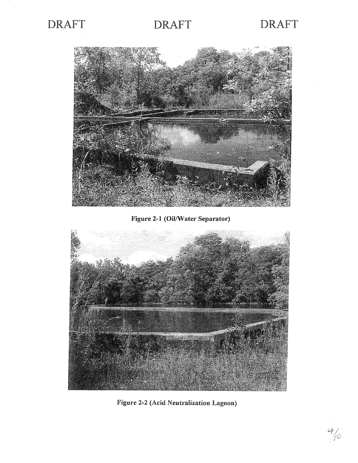

 $4/0$ 



Figure 2-1 Oil/Water Separator



Figure 2-2 Acid Neutralization Lagoon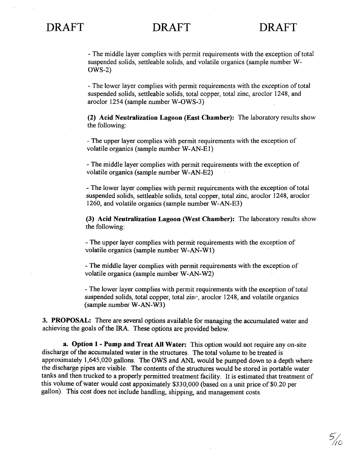$5/20$ 

The middle layer complies with permit requirements with the exception of total suspended solids, settleable solids, and volatile organics (sample number W-OWS-2

The lower layer complies with permit requirements with the exception of total suspended solids, settleable solids, total copper, total zinc, aroclor 1248, and aroclor 1254 (sample number W-OWS-3)

 $(2)$  Acid Neutralization Lagoon (East Chamber): The laboratory results show the following

The upper layer complies with permit requirements with the exception of volatile organics (sample number W-AN-E1)

The middle layer complies with permit requirements with the exception of volatile organics (sample number W-AN-E2)

The lower layer complies with permit requirements with the exception of total suspended solids, settleable solids, total copper, total zinc, aroclor 1248, aroclor 1260, and volatile organics (sample number  $W-AN-E3$ )

(3) Acid Neutralization Lagoon (West Chamber): The laboratory results show the following

The upper layer complies with permit requirements with the exception of volatile organics (sample number W-AN-W1)

The middle layer complies with permit requirements with the exception of volatile organics (sample number W-AN-W2)

The lower layer complies with permit requirements with the exception of total suspended solids, total copper, total zinc, aroclor  $1248$ , and volatile organics (sample number W-AN-W3)

3. PROPOSAL: There are several options available for managing the accumulated water and achieving the goals of the IRA. These options are provided below.

a. Option 1 - Pump and Treat All Water: This option would not require any on-site discharge of the accumulated water in the structures. The total volume to be treated is approximately 1,645,020 gallons. The OWS and ANL would be pumped down to a depth where the discharge pipes are visible. The contents of the structures would be stored in portable water tanks and then trucked to a properly permitted treatment facility. It is estimated that treatment of this volume of water would cost appoximately  $$330,000$  (based on a unit price of  $$0,20$  per gallon). This cost does not include handling, shipping, and management costs.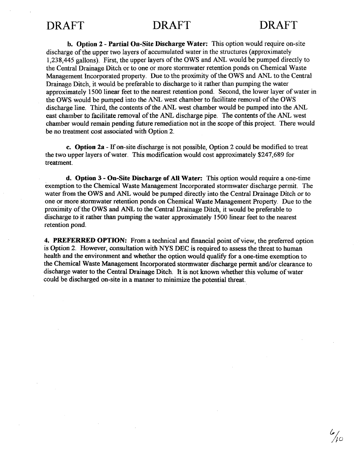b. Option 2 - Partial On-Site Discharge Water: This option would require on-site discharge of the upper two layers of accumulated water in the structures (approximately 1,238,445 gallons). First, the upper layers of the OWS and ANL would be pumped directly to the Central Drainage Ditch or to one or more stormwater retention ponds on Chemical Waste Management Incorporated property. Due to the proximity of the OWS and ANL to the Central Drainage Ditch it would be preferable to discharge to it rather than pumping the water approximately 1500 linear feet to the nearest retention pond. Second, the lower layer of water in the OWS would be pumped into the ANL west chamber to facilitate removal of the OWS discharge line. Third, the contents of the ANL west chamber would be pumped into the ANL east chamber to facilitate removal of the ANL discharge pipe The contents of the ANL west chamber would remain pending future remediation not in the scope of this project. There would be no treatment cost associated with Option 2.

c. Option  $2a$  - If on-site discharge is not possible, Option 2 could be modified to treat the two upper layers of water. This modification would cost approximately \$247,689 for treatment

d. Option 3 - On-Site Discharge of All Water: This option would require a one-time exemption to the Chemical Waste Management Incorporated stormwater discharge permit The water from the OWS and ANL would be pumped directly into the Central Drainage Ditch or to one or more stormwater retention ponds on Chemical Waste Management Property. Due to the proximity of the OWS and ANL to the Central Drainage Ditch it would be preferable to discharge to it rather than pumping the water approximately <sup>1500</sup> linear feet to the nearest retention pond

4. PREFERRED OPTION: From a technical and financial point of view, the preferred option is Option 2. However, consultation with NYS DEC is required to assess the threat to human health and the environment and whether the option would qualify for a one-time exemption to the Chemical Waste Management Incorporated stormwater discharge permit and/or clearance to discharge water to the Central Drainage Ditch It is not known whether this volume of water could be discharged on-site in a manner to minimize the potential threat.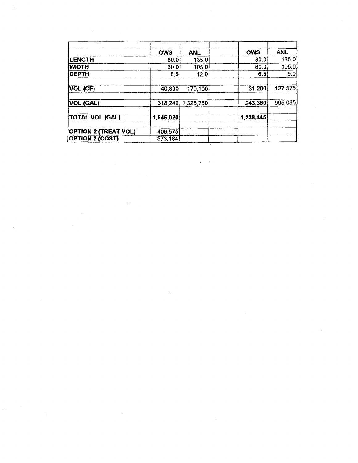|                             | <b>OWS</b> | <b>ANL</b> | <b>OWS</b> | <b>ANL</b> |
|-----------------------------|------------|------------|------------|------------|
| <b>LENGTH</b>               | 80.0       | 135.0      | 80.0       | 135.0      |
| WIDTH                       | 60.0       | 105.0      | 60.0       | 105.0      |
| <b>DEPTH</b>                | 8.5        | 12.0       | 6.5        | 9.0        |
| VOL (CF)                    | 40,800     | 170,100    | 31,200     | 127,575    |
| VOL (GAL)                   | 318,240    | 1,326,780  | 243,360    | 995,085    |
| <b>TOTAL VOL (GAL)</b>      | 1,645,020  |            | 1,238,445  |            |
| <b>OPTION 2 (TREAT VOL)</b> | 406,575    |            |            |            |
| <b>OPTION 2 (COST)</b>      | \$73,184   |            |            |            |

 $\label{eq:2.1} \frac{1}{\sqrt{2}}\left(\frac{1}{\sqrt{2}}\right)^{2} \left(\frac{1}{\sqrt{2}}\right)^{2} \left(\frac{1}{\sqrt{2}}\right)^{2} \left(\frac{1}{\sqrt{2}}\right)^{2} \left(\frac{1}{\sqrt{2}}\right)^{2} \left(\frac{1}{\sqrt{2}}\right)^{2} \left(\frac{1}{\sqrt{2}}\right)^{2} \left(\frac{1}{\sqrt{2}}\right)^{2} \left(\frac{1}{\sqrt{2}}\right)^{2} \left(\frac{1}{\sqrt{2}}\right)^{2} \left(\frac{1}{\sqrt{2}}\right)^{2} \left(\$ 

 $\label{eq:2.1} \frac{1}{\sqrt{2}}\int_{\mathbb{R}^3} \frac{1}{\sqrt{2}}\left(\frac{1}{\sqrt{2}}\right)^2\frac{1}{\sqrt{2}}\left(\frac{1}{\sqrt{2}}\right)^2\frac{1}{\sqrt{2}}\left(\frac{1}{\sqrt{2}}\right)^2.$ 

 $\mathcal{H}_{\mathrm{c}}$  .

 $\label{eq:2.1} \frac{1}{\sqrt{2}}\sum_{i=1}^n\frac{1}{\sqrt{2}}\sum_{j=1}^n\frac{1}{j!}\sum_{j=1}^n\frac{1}{j!}\sum_{j=1}^n\frac{1}{j!}\sum_{j=1}^n\frac{1}{j!}\sum_{j=1}^n\frac{1}{j!}\sum_{j=1}^n\frac{1}{j!}\sum_{j=1}^n\frac{1}{j!}\sum_{j=1}^n\frac{1}{j!}\sum_{j=1}^n\frac{1}{j!}\sum_{j=1}^n\frac{1}{j!}\sum_{j=1}^n\frac{1}{j!}\sum_{j=1$ 

 $\label{eq:2.1} \frac{1}{2} \sum_{i=1}^n \frac{1}{2} \sum_{j=1}^n \frac{1}{2} \sum_{j=1}^n \frac{1}{2} \sum_{j=1}^n \frac{1}{2} \sum_{j=1}^n \frac{1}{2} \sum_{j=1}^n \frac{1}{2} \sum_{j=1}^n \frac{1}{2} \sum_{j=1}^n \frac{1}{2} \sum_{j=1}^n \frac{1}{2} \sum_{j=1}^n \frac{1}{2} \sum_{j=1}^n \frac{1}{2} \sum_{j=1}^n \frac{1}{2} \sum_{j=1}^n \frac{$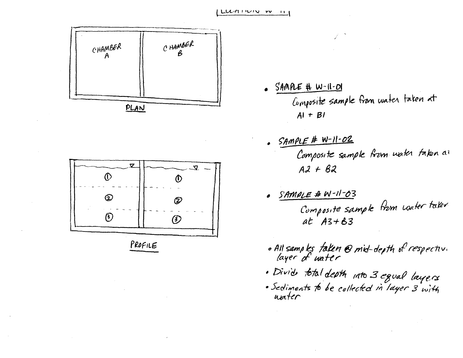



PROFILE

- $s$  SAMPLE #  $W$ -11-01 Composite sample from water taken at  $Al + Bl$
- . SAMPLE # W-11-02<br>Composite sample from water fakon al  $A2 + B2$
- SAMPLE # W-11-03  $\bullet$ Composite sample from water taker  $at$   $A3+63$
- o All samples *falen* @ mid-depth of respective<br>layer of water
- . Divide total depth into 3 equal layers
- · Sediments to be collected in layer 3 with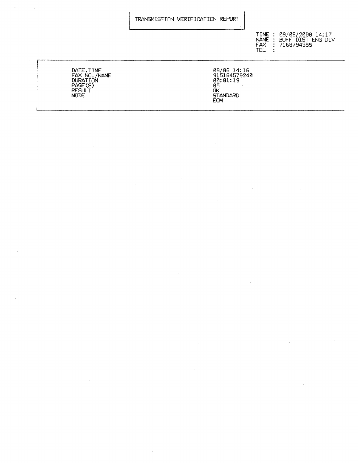#### TRANSMISEION VERIFICATION REPORT

 $\sim$ 

 $TIME: 09/06/2000 14:17$ NAME : BUFF DIST ENG DIV FAX : 716879435<br>TFL :

DATE, TIME 2012 2014:10 FAX NO /NAME 915184579248 DURATION 088119 PAGE(S) 85 RESULT OK MODE STANDARD STANDARD STANDARD STANDARD STANDARD STANDARD STANDARD STANDARD STANDARD STANDARD STANDARD STANDARD STANDARD STANDARD STANDARD STANDARD STANDARD STANDARD STANDARD STANDARD STANDARD STANDARD STANDARD STANDARD S

 $\sim$   $\sim$ 

 $\cdot$ 

 $\ddot{\phantom{a}}$ 

 $\sim 10$ 

00.01.15<br>05<br>OK<br>STANDARD<br>ECM

 $\bar{z}$ 

 $\bar{z}$ 

 $\mathbf{r}$ 

 $\bar{z}$ 

 $\sim$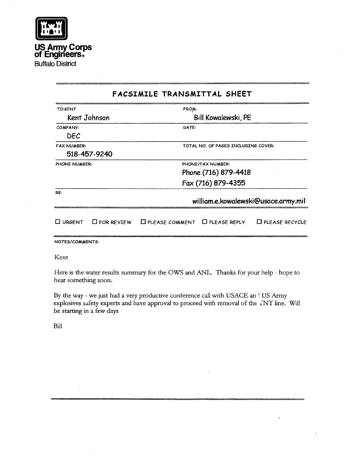| I<br>I                      |  |
|-----------------------------|--|
|                             |  |
| $\mathbf{1}$<br>ı<br>1<br>ı |  |
|                             |  |
|                             |  |
|                             |  |
|                             |  |

US Army Corps of Engineers

Buffalo District

### FACSIMILE TRANSMITTAL SHEET TO: KENT FROM: Kent Johnson Bill Kowalewski, PE COMPANY: DATE: DEC FAX NUMBER: TOTAL NO. OF PAGES INCLUDING COVER: 518-457-9240 PHONE NUMBER: PHONE/FAX NUMBER: Phone (716) 879-4418 Fax (716) 879-4355 RE william.e.kowalewski@usace.army.mil  $\Box$  URGENT  $\Box$  FOR REVIEW  $\Box$  PLEASE COMMENT  $\Box$  PLEASE REPLY  $\Box$  PLEASE RECYCLE NOTES/COMMENTS

Kent

Here is the water results summary for the OWS and ANL. Thanks for your help - hope to hear something soon

By the way - we just had a very productive conference call with USACE and US Army explosives safety experts and have approval to proceed with removal of the TNT line. Will be starting in a few days

Bill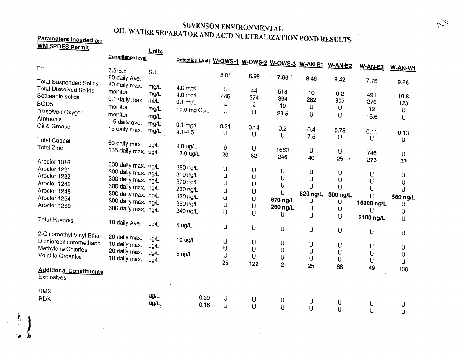# SEVENSON ENVIRONMENTAL<br>OIL WATER SEPARATOR AND ACID NUETRALIZATION POND RESULTS

#### Parameters incuded on WM SPDES Permi

 $\parallel$ 

| <u>WW SPUES Permit</u>         |                     | Units |                                                 |        |                |                |                |                |            |              |
|--------------------------------|---------------------|-------|-------------------------------------------------|--------|----------------|----------------|----------------|----------------|------------|--------------|
|                                | Compliance level    |       |                                                 |        |                |                |                |                |            |              |
|                                |                     |       | Detection Limit W-OWS-1 W-OWS-2 W-OWS-3 W-AN-E1 |        |                |                |                |                |            |              |
| pH                             | $6.5 - 8.5$         | SU    |                                                 |        |                |                |                | <b>W-AN-E2</b> | $W-AN-E3$  | W-AN-W1      |
|                                | 20 daily Ave.       |       |                                                 | 8.81   | 6.98           | 7.06           | 9.49           |                |            |              |
| <b>Total Suspended Solids</b>  |                     |       |                                                 |        |                |                |                | 9.42           | 7.75       | 9.26         |
| <b>Total Dissolved Solids</b>  | 40 daily max.       | mg/L  | 4.0 mg/L                                        | U      | 44             |                |                |                |            |              |
| Settleable solids              | monitor             | mg/L  | 4.0 mg/L                                        | 445    | 374            | 518            | 10             | 9.2            | 491        | 10.8         |
| BOD <sub>5</sub>               | 0.1 daily max.      | ml/L  | $0.1$ ml/L                                      | U      |                | 364            | 282            | 307            | 276        | 123          |
|                                | monitor             | mg/L  | 10.0 mg $O_2/L$                                 |        | $\overline{c}$ | 19             | U              | U              | 12         | U            |
| Dissolved Oxygen               | monitor             | mg/L  |                                                 | $\cup$ | U              | 23.5           | $\mathbf U$    | U              | 15.6       |              |
| Ammonia                        | 1.5 daily ave.      | mg/L  |                                                 |        |                |                |                |                |            | U            |
| Oil & Grease                   | 15 daily max.       |       | $0.1$ mg/L                                      | 0.21   | 0,14           | 0.2            | 0.4            |                |            |              |
|                                |                     | mg/L  | $4.1 - 4.5$                                     | U      | U              | U              | 7.5            | 0.75           | 0.11       | 0.13         |
| <b>Total Copper</b>            |                     |       |                                                 |        |                |                |                | U              | $\cup$     | U            |
| <b>Total Zinc</b>              | 60 daily max.       | ug/L  | 9.0 ug/L                                        | 9      | U              | 1660           |                |                |            |              |
|                                | 135 daily max. ug/L |       | 13.0 ug/L                                       | 20     | 82             |                | $\mathsf{U}$ , | U              | 746        | U            |
| Aroclor 1016                   |                     |       |                                                 |        |                | 246            | 40             | 25<br>$\;$     | 276        | 33           |
| Aroclor 1221                   | 300 daily max. ng/L |       | 250 ng/L                                        | U      |                |                |                |                |            |              |
|                                | 300 daily max. ng/L |       | 310 ng/L                                        | U      | U              | U              | U              | U              | U          | ∵U           |
| Aroclor 1232                   | 300 daily max. ng/L |       | 270 ng/L                                        |        | U              | U              | U              | U              | U          | U            |
| Aroclor 1242                   | 300 daily max. ng/L |       |                                                 | U      | U              | U              | U              | U              | U          |              |
| Aroclor 1248                   | 300 daily max. ng/L |       | 230 ng/L                                        | U      | U              | U              | 520 ng/L       | 300 ng/L       |            | U            |
| Aroclor 1254                   | 300 daily max. ng/L |       | 320 ng/L                                        | U      | U              | 670 ng/L       | U              |                | U          | 560 ng/L     |
| Aroclor 1260                   |                     |       | 260 ng/L                                        | U      | U              | 260 ng/L       | U              | U              | 15300 ng/L | U            |
|                                | 300 daily max. ng/L |       | 240 ng/L                                        | U      | U              | U              |                | U              | U          | U            |
| <b>Total Phenols</b>           |                     |       |                                                 |        |                |                | U              | U              | 2100 ng/L  | U            |
|                                | 10 daily Ave.       | ug/L  | 5 ug/L                                          | U      | U              |                |                |                |            |              |
| 2-Chloroethyl Vinyl Ether      |                     |       |                                                 |        |                | U              | $\cup$         | U              | U          | U            |
|                                | 20 daily max.       | ug/L  | 10 ug/L                                         | U      |                |                |                |                |            |              |
| Dichlorodifluoromethane        | 10 daily max.       | ug/L  |                                                 |        | U              | U              | U              | U              | $\bigcup$  | U            |
| Methylene Chloride             | 20 daily max.       | ug/L  | 5 ug/L                                          | IJ     | U              | U              | U              | U              | U          | U            |
| Volatile Organics              | 10 daily max.       | ug/L  |                                                 | U      | $\mathsf U$    | U              | U              | U              | U          |              |
|                                |                     |       |                                                 | 25     | 122            | $\overline{c}$ | 25             | 68             | 49         | U            |
| <b>Additional Constituents</b> |                     |       |                                                 |        |                |                |                |                |            | 138          |
| Explosives:                    |                     |       |                                                 |        |                |                |                |                |            |              |
| <b>HMX</b>                     |                     |       |                                                 |        |                |                |                |                |            |              |
| <b>RDX</b>                     |                     | ug/L  | 0.39                                            | U      |                |                |                |                |            |              |
|                                |                     | ug/L  | 0.16                                            | U      | U              | U              | $\sf U$        | U              | U          | U            |
|                                |                     |       |                                                 |        | U              | U              | $\cup$         | U              | $\cup$     | $\mathbf{1}$ |

 $\sim$ 

 $\breve{\sim}$ 

 $\Delta \sim 10^6$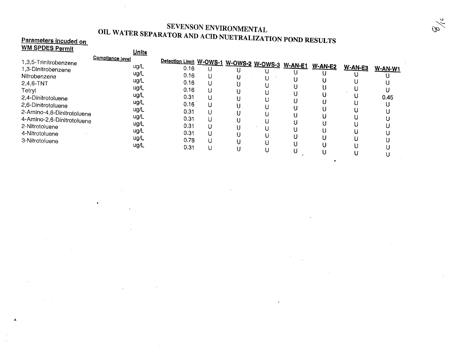### SEVENSON ENVIRONMENTAL SEVENSON ENVIRONMENTAL<br>OIL WATER SEPARATOR AND ACID NUETRALIZAT Parameters incuded on NUETEALIZATION POND RESULTS

## **Parameters incuded on<br>WM SPDES Permit**

 $\mathbf{g}_i$ 

 $\bullet$ 

| Detection Limit W-OWS-1 W-OWS-2 W-OWS-3 W-AN-E1<br>1,3,5-Trinitrobenzene<br>$W-AN-E2$<br>ug/L<br><u>W-AN-E3</u><br>0.16<br>1,3-Dinitrobenzene<br>U<br>ug/L<br>0.16<br>Nitrobenzene<br>ug/L<br>0.16<br>2,4,6-TNT<br>U<br>ug/L<br>0.16<br>Tetryl<br>ug/L<br>0.31<br>0.45<br>2,4-Dinitrotoluene<br>U<br>ug/L<br>0.16<br>2.6-Dinitrotoluene<br>ug/L<br>0.31<br>2-Amino-4,6-Dinitrotoluene<br>U<br>ug/L<br>0.31<br>4-Amino-2,6-Dinitrotoluene<br>ug/L<br>0.31<br>U | <u> IVIN OF UES F</u> ermit | <b>Units</b>     |  |  |  |                |
|---------------------------------------------------------------------------------------------------------------------------------------------------------------------------------------------------------------------------------------------------------------------------------------------------------------------------------------------------------------------------------------------------------------------------------------------------------------|-----------------------------|------------------|--|--|--|----------------|
| ug/L<br>0.31<br>4-Nitrotoluene<br>ug/L<br>0.78<br>3-Nitrotoluene<br>U<br>ug/L<br>0.31<br>IJ<br>U                                                                                                                                                                                                                                                                                                                                                              | 2-Nitrotoluene              | Compliance level |  |  |  | <u>W-AN-W1</u> |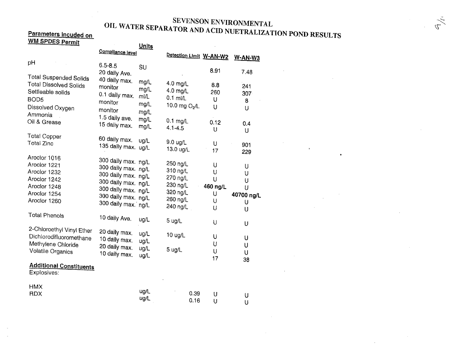### SEVENSON ENVIRONMENTAL SEVENSON ENVIRONMENTAL<br>OIL WATER SEPARATOR AND ACID NUETRALIZAT Parameters incuded on Nueval Service ANATOR AND ACID NUETRALIZATION POND RESULTS

 $\sim 10$ 

 $\sim 10^{11}$ 

 $\mathcal{L}^{\mathcal{L}}$ 

 $\bullet$ 

 $\sim 10$ 

 $\mathcal{L}$ 

 $\sim$ 

 $\sigma$ 

## <u>Parameters incuded on</u><br>WM SPDES Permit

| <u>WW SPDES Permit</u>                                                                                                                 |                                                                                                                                                               | <b>Units</b>                        |                                                                                  |                                        |                                          |
|----------------------------------------------------------------------------------------------------------------------------------------|---------------------------------------------------------------------------------------------------------------------------------------------------------------|-------------------------------------|----------------------------------------------------------------------------------|----------------------------------------|------------------------------------------|
|                                                                                                                                        | Compliance level                                                                                                                                              |                                     | Detection Limit W-AN-W2                                                          |                                        | W-AN-W3                                  |
| pH                                                                                                                                     | $6.5 - 8.5$<br>20 daily Ave.                                                                                                                                  | SU                                  |                                                                                  | 8.91                                   | 7.48                                     |
| <b>Total Suspended Solids</b><br><b>Total Dissolved Solids</b><br>Settleable solids<br>BOD <sub>5</sub><br>Dissolved Oxygen<br>Ammonia | 40 daily max.<br>monitor<br>0.1 daily max.<br>monitor<br>monitor                                                                                              | mg/L<br>mg/L<br>m/L<br>mg/L<br>mg/L | 4.0 mg/L<br>4.0 mg/L<br>$0.1$ ml/L<br>10.0 mg $O_2/L$                            | 8.8<br>260<br>U<br>U                   | 241<br>307<br>8<br>U                     |
| Oil & Grease                                                                                                                           | 1.5 daily ave.<br>15 daily max.                                                                                                                               | mg/L<br>mg/L                        | $0.1$ mg/L<br>$4.1 - 4.5$                                                        | 0.12<br>U                              | 0.4<br>U                                 |
| <b>Total Copper</b><br>Total Zinc                                                                                                      | 60 daily max.<br>135 daily max. ug/L                                                                                                                          | ug/L                                | 9.0 ug/L<br>13.0 ug/L                                                            | U<br>17                                | 901<br>229                               |
| Aroclor 1016<br>Aroclor 1221<br>Aroclor 1232<br>Aroclor 1242<br>Aroclor 1248<br>Aroclor 1254<br>Aroclor 1260                           | 300 daily max. ng/L<br>300 daily max. ng/L<br>300 daily max. ng/L<br>300 daily max. ng/L<br>300 daily max. ng/L<br>300 daily max. ng/L<br>300 daily max. ng/L |                                     | 250 ng/L<br>310 ng/L<br>270 ng/L<br>230 ng/L<br>320 ng/L<br>260 ng/L<br>240 ng/L | U<br>U<br>U<br>460 ng/L<br>U<br>U<br>U | U<br>U<br>U<br>U<br>40700 ng/L<br>U<br>U |
| <b>Total Phenols</b>                                                                                                                   | 10 daily Ave.                                                                                                                                                 | ug/L                                | 5 ug/L                                                                           | U                                      | U                                        |
| 2-Chloroethyl Vinyl Ether<br>Dichlorodifluoromethane<br>Methylene Chloride<br>Volatile Organics                                        | 20 daily max.<br>10 daily max.<br>20 daily max.<br>10 daily max.                                                                                              | ug/L<br>ug/L<br>ug/L<br>ug/L        | 10 ug/L<br>5 ug/L                                                                | U<br>U<br>U<br>17                      | U<br>U<br>U                              |
| <b>Additional Constituents</b><br>Explosives:                                                                                          |                                                                                                                                                               |                                     |                                                                                  |                                        | 38                                       |
| <b>HMX</b><br><b>RDX</b>                                                                                                               |                                                                                                                                                               | ug/L<br>ug/L                        | 0.39<br>0.16                                                                     | U<br>U                                 | U<br>U                                   |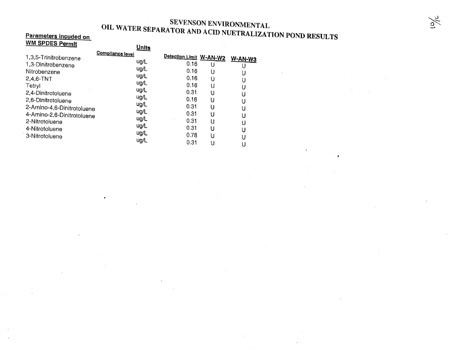#### SEVENSON ENVIRONMENTAL **OIL WATER SEPARATOR AND ACID NUETRAL SEPARATOR AND ACID NUETRAL** Parameters incuded on Nunclear Sea ANA LUR AND ACID NUETRALIZATION POND RESULTS

 $\sim$ 

 $\mathbf{A}^{\mathrm{eff}}$ 

 $\sim$   $\sim$ 

 $\mathcal{L}^{\mathcal{L}}(\mathcal{L}^{\mathcal{L}})$  and  $\mathcal{L}^{\mathcal{L}}(\mathcal{L}^{\mathcal{L}})$  and  $\mathcal{L}^{\mathcal{L}}(\mathcal{L}^{\mathcal{L}})$ 

### WM SPDES Permit

 $\sim 10^7$ 

 $\mathcal{A}$ 

| WM SPDES Permit                                                                                                                                                                                                                                    |                  | <u>Units</u>                                                                                 |                                                                                                                         |                                                |                                  |
|----------------------------------------------------------------------------------------------------------------------------------------------------------------------------------------------------------------------------------------------------|------------------|----------------------------------------------------------------------------------------------|-------------------------------------------------------------------------------------------------------------------------|------------------------------------------------|----------------------------------|
| 1,3,5-Trinitrobenzene<br>1,3-Dinitrobenzene<br>Nitrobenzene<br>$2,4,6-TNT$<br>Tetryl<br>2,4-Dinitrotoluene<br>2,6-Dinitrotoluene<br>2-Amino-4,6-Dinitrotoluene<br>4-Amino-2,6-Dinitrotoluene<br>2-Nitrotoluene<br>4-Nitrotoluene<br>3-Nitrotoluene | Compliance level | ug/L<br>ug/L<br>ug/L<br>ug/L<br>ug/L<br>ug/L<br>ug/L<br>ug/L<br>ug/L<br>ug/L<br>ug/L<br>ug/L | Detection Limit W-AN-W2<br>0.16<br>0.16<br>0.16<br>0.16<br>0.31<br>0.16<br>0.31<br>0.31<br>0.31<br>0.31<br>0.78<br>0.31 | U<br>U<br>U<br>U<br>U<br>U<br>U<br>U<br>U<br>U | W-AN-W3<br>U<br>U<br>U<br>U<br>U |

 $\bullet$